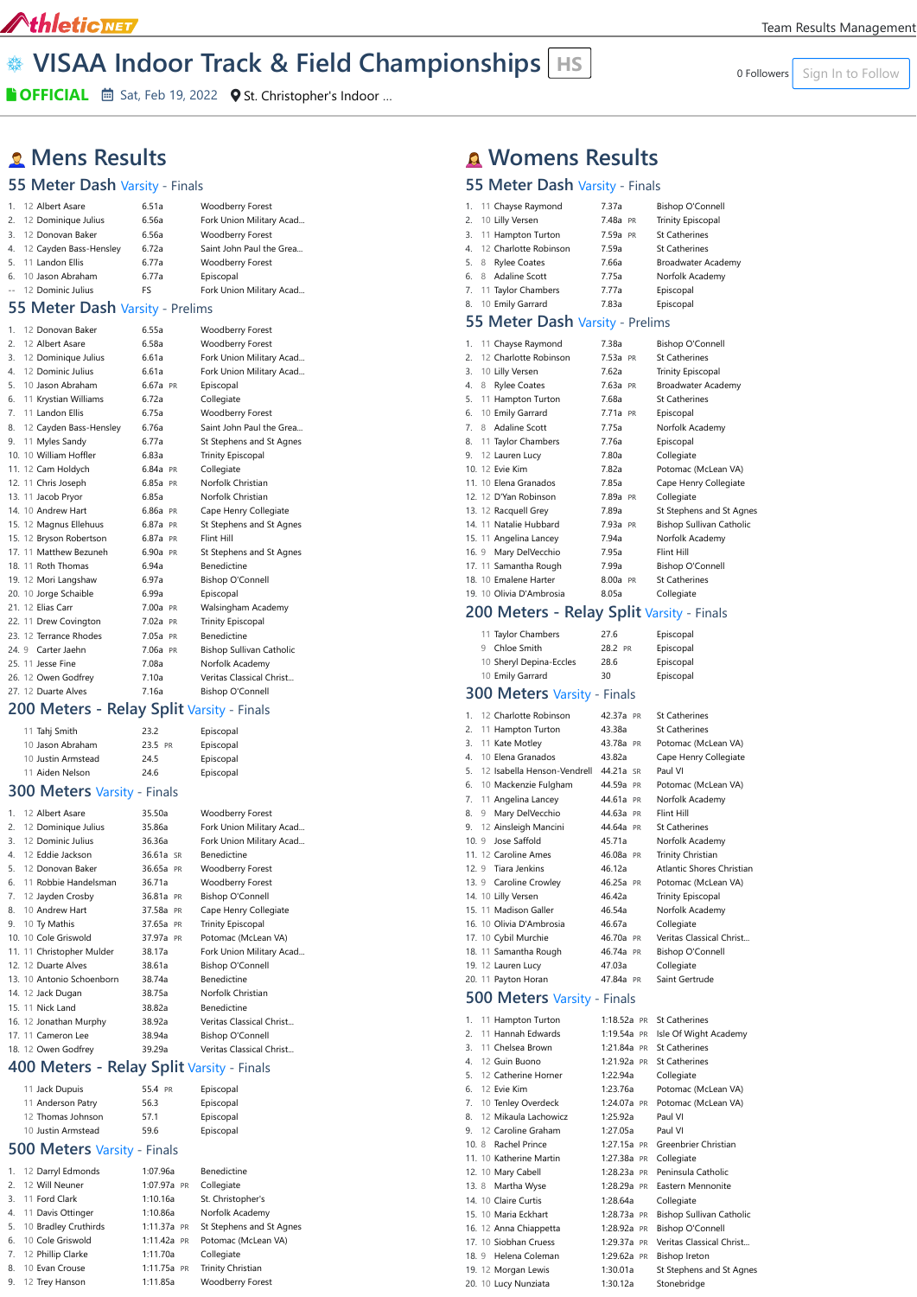## AthleticNET

# **Example 10 A Section 10 Follow Section 10 Follow Championships HS MEXIGARY Sign In to Follow**

**B** OFFICIAL *i* **Sat, Feb 19, 2022** • O St. Christopher's Indoor ...

## **Mens Results**

#### **55 Meter Dash** Varsity - Finals

| 1. 12 Albert Asare        | 6.51a | <b>Woodberry Forest</b>  |
|---------------------------|-------|--------------------------|
| 2. 12 Dominique Julius    | 6.56a | Fork Union Military Acad |
| 3. 12 Donovan Baker       | 6.56a | <b>Woodberry Forest</b>  |
| 4. 12 Cayden Bass-Hensley | 6.72a | Saint John Paul the Grea |
| 5. 11 Landon Ellis        | 6.77a | <b>Woodberry Forest</b>  |
| 6. 10 Jason Abraham       | 6.77a | Episcopal                |
| -- 12 Dominic Julius      | FS.   | Fork Union Military Acad |
|                           |       |                          |

#### **55 Meter Dash Varsity - Prelin**

| 1. | 12 Donovan Baker        | 6.55a      | <b>Woodberry Forest</b>         |
|----|-------------------------|------------|---------------------------------|
| 2. | 12 Albert Asare         | 6.58a      | <b>Woodberry Forest</b>         |
| 3. | 12 Dominique Julius     | 6.61a      | Fork Union Military Acad        |
| 4. | 12 Dominic Julius       | 661a       | Fork Union Military Acad        |
| 5. | 10 Jason Abraham        | 6.67a PR   | Episcopal                       |
| 6. | 11 Krystian Williams    | 6.72a      | Collegiate                      |
| 7. | 11 Landon Ellis         | 6.75a      | Woodberry Forest                |
| 8. | 12 Cayden Bass-Hensley  | 6.76a      | Saint John Paul the Grea        |
| 9. | 11 Myles Sandy          | 677a       | St Stephens and St Agnes        |
|    | 10. 10 William Hoffler  | 6.83a      | <b>Trinity Episcopal</b>        |
|    | 11. 12 Cam Holdych      | 6.84a PR   | Collegiate                      |
|    | 12. 11 Chris Joseph     | 6.85a PR   | Norfolk Christian               |
|    | 13. 11 Jacob Pryor      | 6.85a      | Norfolk Christian               |
|    | 14. 10 Andrew Hart      | 6.86a PR   | Cape Henry Collegiate           |
|    | 15. 12 Magnus Ellehuus  | 6.87a PR   | St Stephens and St Agnes        |
|    | 15. 12 Bryson Robertson | 6.87a PR   | Flint Hill                      |
|    | 17. 11 Matthew Bezuneh  | 6.90a PR   | St Stephens and St Agnes        |
|    | 18. 11 Roth Thomas      | 6.94a      | <b>Benedictine</b>              |
|    | 19. 12 Mori Langshaw    | 6.97a      | <b>Bishop O'Connell</b>         |
|    | 20. 10 Jorge Schaible   | 6.99a      | Episcopal                       |
|    | 21. 12 Elias Carr       | $7.00a$ PR | Walsingham Academy              |
|    | 22. 11 Drew Covington   | 7.02a PR   | <b>Trinity Episcopal</b>        |
|    | 23. 12 Terrance Rhodes  | 7.05a PR   | <b>Benedictine</b>              |
|    | 24. 9 Carter Jaehn      | 7.06a PR   | <b>Bishop Sullivan Catholic</b> |
|    | 25. 11 Jesse Fine       | 7.08a      | Norfolk Academy                 |
|    | 26. 12 Owen Godfrey     | 7.10a      | Veritas Classical Christ        |
|    | 27. 12 Duarte Alves     | 7.16a      | <b>Bishop O'Connell</b>         |
|    |                         |            |                                 |

### 200 Meters - Relay Split Varsity - Finals

| 11 Tahj Smith      | 232     | Episcopal |
|--------------------|---------|-----------|
| 10 Jason Abraham   | 23.5 PR | Episcopal |
| 10 Justin Armstead | 24.5    | Episcopal |
| 11 Aiden Nelson    | 24 6    | Episcopal |

## **300 Meters** Varsity - Finals

| $\mathbf{1}$ | 12 Albert Asare           | 35.50a    | Woodberry Forest         |
|--------------|---------------------------|-----------|--------------------------|
| 2.           | 12 Dominique Julius       | 35.86a    | Fork Union Military Acad |
| 3.           | 12 Dominic Julius         | 36.36a    | Fork Union Military Acad |
| 4.           | 12 Eddie Jackson          | 36.61a SR | <b>Benedictine</b>       |
| 5.           | 12 Donovan Baker          | 36.65a PR | <b>Woodberry Forest</b>  |
| 6.           | 11 Robbie Handelsman      | 36.71a    | Woodberry Forest         |
| 7.           | 12 Jayden Crosby          | 36.81a PR | <b>Bishop O'Connell</b>  |
| 8.           | 10 Andrew Hart            | 37.58a PR | Cape Henry Collegiate    |
| 9.           | 10 Ty Mathis              | 37.65a PR | <b>Trinity Episcopal</b> |
|              | 10. 10 Cole Griswold      | 37.97a PR | Potomac (McLean VA)      |
|              | 11. 11 Christopher Mulder | 38.17a    | Fork Union Military Acad |
|              | 12. 12 Duarte Alves       | 38.61a    | <b>Bishop O'Connell</b>  |
|              | 13. 10 Antonio Schoenborn | 38.74a    | <b>Benedictine</b>       |
|              | 14. 12 Jack Dugan         | 38.75a    | Norfolk Christian        |
|              | 15. 11 Nick Land          | 38.82a    | <b>Benedictine</b>       |
|              | 16. 12 Jonathan Murphy    | 38.92a    | Veritas Classical Christ |
|              | 17. 11 Cameron Lee        | 38.94a    | <b>Bishop O'Connell</b>  |
|              | 18. 12 Owen Godfrey       | 39.29a    | Veritas Classical Christ |
|              |                           |           |                          |

| Fork Union Military Acad |
|--------------------------|
| ms                       |
| <b>Woodberry Forest</b>  |
| <b>Woodberry Forest</b>  |
| Fork Union Military Acad |
| Fork Union Military Acad |
| Episcopal                |
| Collegiate               |
| <b>Woodberry Forest</b>  |
| Saint John Paul the Grea |
| St Stephens and St Agnes |
| <b>Trinity Episcopal</b> |
| Collegiate               |
| Norfolk Christian        |
| .                        |

## **400 Meters - Relay Split** Varsity - Finals

| 11 Jack Dupuis     | 55.4 PR | Episcopal |
|--------------------|---------|-----------|
| 11 Anderson Patry  | 56.3    | Episcopal |
| 12 Thomas Johnson  | 571     | Episcopal |
| 10 Justin Armstead | 596     | Episcopal |

#### **500 Meters** Varsity - Finals

| $\mathbf{1}$ . | 12 Darryl Edmonds       | 1:07.96a      | Benedictine              |
|----------------|-------------------------|---------------|--------------------------|
| $\mathcal{P}$  | 12 Will Neuner          | 1:07.97a PR   | Collegiate               |
|                | 3. 11 Ford Clark        | 1:10.16a      | St. Christopher's        |
| 4.             | 11 Davis Ottinger       | 1:10.86a      | Norfolk Academy          |
|                | 5. 10 Bradley Cruthirds | $1:11.37a$ PR | St Stephens and St Agnes |
| 6.             | 10 Cole Griswold        | 1:11.42a PR   | Potomac (McLean VA)      |
|                | 7. 12 Phillip Clarke    | 1:11.70a      | Collegiate               |
| 8.             | 10 Evan Crouse          | 1:11.75a PR   | Trinity Christian        |
| 9.             | 12 Trey Hanson          | 1:11.85a      | <b>Woodberry Forest</b>  |

| 96a              |    | Benedictine                 |
|------------------|----|-----------------------------|
| 97a              | PR | Collegiate                  |
| 16a              |    | St. Christopher's           |
| 86a              |    | Norfolk Academy             |
| 37a              | PR | St Stephens and St          |
| 42a              | PR | Potomac (McLean \           |
| 70a              |    | Collegiate                  |
| 75a              | PR | <b>Trinity Christian</b>    |
| 0.5 <sub>0</sub> |    | $M$ aadhassa $\Gamma$ asaat |

## **Womens Results**

### **55 Meter Dash** Varsity - Finals

|    | 1. 11 Chayse Raymond     | 7.37a    | <b>Bishop O'Connell</b>   |
|----|--------------------------|----------|---------------------------|
|    | 2. 10 Lilly Versen       | 7.48a PR | <b>Trinity Episcopal</b>  |
|    | 3. 11 Hampton Turton     | 7.59a PR | <b>St Catherines</b>      |
|    | 4. 12 Charlotte Robinson | 7.59a    | <b>St Catherines</b>      |
|    | Rylee Coates<br>5. 8     | 7.66a    | <b>Broadwater Academy</b> |
|    | 6. 8 Adaline Scott       | 7.75a    | Norfolk Academy           |
|    | 7. 11 Taylor Chambers    | 7.77a    | Episcopal                 |
| 8. | 10 Emily Garrard         | 7.83a    | Episcopal                 |
|    |                          |          |                           |

#### **55 Meter Dash Varsity - Prelims**

| 1.             | 11 Chayse Raymond        | 7.38a    | <b>Bishop O'Connell</b>         |
|----------------|--------------------------|----------|---------------------------------|
| 2.             | 12 Charlotte Robinson    | 7.53a PR | <b>St Catherines</b>            |
| 3.             | 10 Lilly Versen          | 7.62a    | <b>Trinity Episcopal</b>        |
| 4.             | <b>Rylee Coates</b><br>8 | 7.63a PR | <b>Broadwater Academy</b>       |
| 5.             | 11 Hampton Turton        | 7.68a    | <b>St Catherines</b>            |
| 6.             | 10 Emily Garrard         | 7.71a PR | Episcopal                       |
| $\overline{7}$ | Adaline Scott<br>8       | 7.75a    | Norfolk Academy                 |
| 8.             | 11 Taylor Chambers       | 7.76a    | Episcopal                       |
| 9.             | 12 Lauren Lucy           | 7.80a    | Collegiate                      |
|                | 10. 12 Evie Kim          | 7.82a    | Potomac (McLean VA)             |
|                | 11. 10 Elena Granados    | 7.85a    | Cape Henry Collegiate           |
|                | 12. 12 D'Yan Robinson    | 7.89a PR | Collegiate                      |
|                | 13. 12 Racquell Grey     | 7.89a    | St Stephens and St Agnes        |
|                | 14. 11 Natalie Hubbard   | 7.93a PR | <b>Bishop Sullivan Catholic</b> |
|                | 15. 11 Angelina Lancey   | 7.94a    | Norfolk Academy                 |
| 16.9           | Mary DelVecchio          | 7.95a    | Flint Hill                      |
|                | 17. 11 Samantha Rough    | 7.99a    | <b>Bishop O'Connell</b>         |
|                | 18. 10 Emalene Harter    | 8.00a PR | <b>St Catherines</b>            |
|                | 19. 10 Olivia D'Ambrosia | 8.05a    | Collegiate                      |

## **200 Meters - Relay Split** Varsity - Finals

| 11 Taylor Chambers      | 27.6    | Episcopal |
|-------------------------|---------|-----------|
| 9 Chloe Smith           | 28.2 PR | Episcopal |
| 10 Sheryl Depina-Eccles | 28.6    | Episcopal |
| 10 Emily Garrard        | 30      | Episcopal |
|                         |         |           |

#### **300 Meters** Varsity - Finals

| 1.     | 12 Charlotte Robinson       | 42.37a PR  | <b>St Catherines</b>      |
|--------|-----------------------------|------------|---------------------------|
| 2.     | 11 Hampton Turton           | 43.38a     | <b>St Catherines</b>      |
| 3.     | 11 Kate Motley              | 43.78a PR  | Potomac (McLean VA)       |
| 4.     | 10 Elena Granados           | 43.82a     | Cape Henry Collegiate     |
| 5.     | 12 Isabella Henson-Vendrell | 44 21 a SR | Paul VI                   |
| 6.     | 10 Mackenzie Fulgham        | 44.59a PR  | Potomac (McLean VA)       |
| 7.     | 11 Angelina Lancey          | 44.61a PR  | Norfolk Academy           |
| 8.     | Mary DelVecchio<br>9        | 44.63a PR  | Flint Hill                |
| 9.     | 12 Ainsleigh Mancini        | 44.64a PR  | <b>St Catherines</b>      |
|        | Jose Saffold<br>$10^{9}$    | 45.71a     | Norfolk Academy           |
|        | 11. 12 Caroline Ames        | 46.08a PR  | <b>Trinity Christian</b>  |
|        | 12. 9 Tiara Jenkins         | 46.12a     | Atlantic Shores Christian |
|        | 13. 9 Caroline Crowley      | 46.25a PR  | Potomac (McLean VA)       |
|        | 14. 10 Lilly Versen         | 46.42a     | <b>Trinity Episcopal</b>  |
|        | 15. 11 Madison Galler       | 46.54a     | Norfolk Academy           |
|        | 16. 10 Olivia D'Ambrosia    | 46.67a     | Collegiate                |
|        | 17. 10 Cybil Murchie        | 46.70a PR  | Veritas Classical Christ  |
|        | 18. 11 Samantha Rough       | 46.74a PR  | <b>Bishop O'Connell</b>   |
|        | 19. 12 Lauren Lucy          | 47.03a     | Collegiate                |
| $\sim$ |                             |            |                           |

20. 11 [Payton Horan](https://www.athletic.net/TrackAndField/Athlete.aspx?AID=19408063) [47.84a](https://www.athletic.net/result/dvi542DIPlHYjXXNUz) [PR](https://www.athletic.net/post/dvi542DIPlHYjXXNUz) [Saint Gertrude](https://www.athletic.net/TrackAndField/School.aspx?SchoolID=3679)

## **500 Meters** Varsity - Finals

| 1. | 11 Hampton Turton       | 1:18.52a PR | <b>St Catherines</b>            |
|----|-------------------------|-------------|---------------------------------|
| 2. | 11 Hannah Edwards       | 1:19.54a PR | Isle Of Wight Academy           |
| 3. | 11 Chelsea Brown        | 1:21.84a PR | <b>St Catherines</b>            |
| 4. | 12 Guin Buono           | 1:21.92a PR | <b>St Catherines</b>            |
| 5. | 12 Catherine Horner     | 1:22.94a    | Collegiate                      |
| 6. | 12 Evie Kim             | 1:23.76a    | Potomac (McLean VA)             |
|    | 7. 10 Tenley Overdeck   | 1:24.07a PR | Potomac (McLean VA)             |
| 8. | 12 Mikaula Lachowicz    | 1:25.92a    | Paul VI                         |
| 9. | 12 Caroline Graham      | 1:27.05a    | Paul VI                         |
|    | 10. 8 Rachel Prince     | 1:27.15a PR | Greenbrier Christian            |
|    | 11. 10 Katherine Martin | 1:27.38a PR | Collegiate                      |
|    | 12. 10 Mary Cabell      | 1:28.23a PR | Peninsula Catholic              |
|    | 13. 8 Martha Wyse       | 1:28.29a PR | Eastern Mennonite               |
|    | 14. 10 Claire Curtis    | 1:28.64a    | Collegiate                      |
|    | 15. 10 Maria Eckhart    | 1:28.73a PR | <b>Bishop Sullivan Catholic</b> |
|    | 16. 12 Anna Chiappetta  | 1:28.92a PR | <b>Bishop O'Connell</b>         |
|    | 17. 10 Siobhan Cruess   | 1:29.37a PR | Veritas Classical Christ        |
|    | 18. 9 Helena Coleman    | 1:29.62a PR | <b>Bishop Ireton</b>            |
|    | 19. 12 Morgan Lewis     | 1:30.01a    | St Stephens and St Agnes        |
|    | 20. 10 Lucy Nunziata    | 1:30.12a    | Stonebridge                     |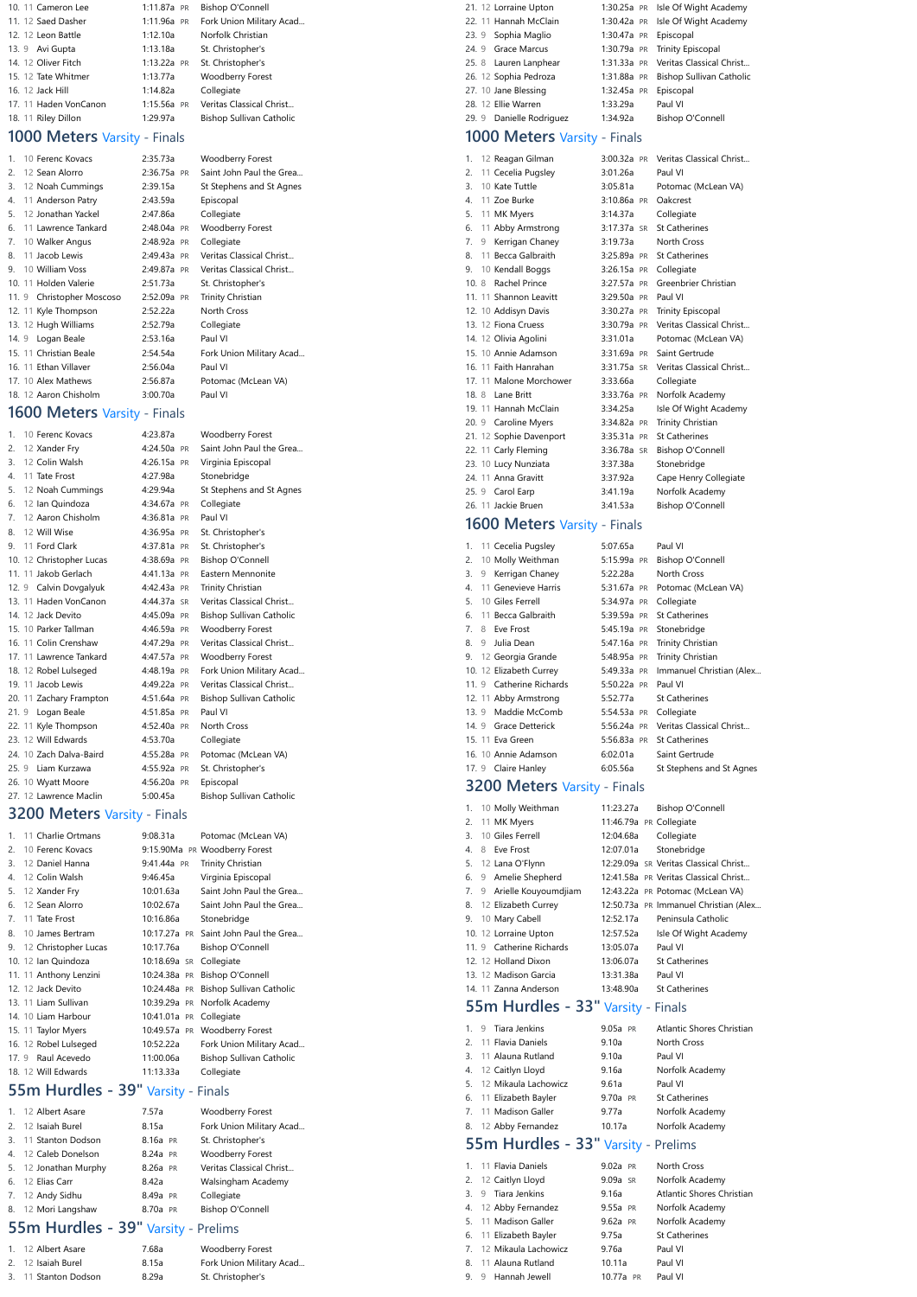| 10. 11 Cameron Lee    | 1:11.87a PR   | Bishop O'Connell                |
|-----------------------|---------------|---------------------------------|
| 11. 12 Saed Dasher    | 1:11.96a PR   | Fork Union Military Acad        |
| 12. 12 Leon Battle    | 1:12.10a      | Norfolk Christian               |
| 13. 9 Avi Gupta       | 1:13.18a      | St. Christopher's               |
| 14. 12 Oliver Fitch   | $1:13.22a$ PR | St. Christopher's               |
| 15. 12 Tate Whitmer   | 1:13.77a      | <b>Woodberry Forest</b>         |
| 16. 12 Jack Hill      | 1:14.82a      | Collegiate                      |
| 17. 11 Haden VonCanon | 1:15.56a PR   | Veritas Classical Christ        |
| 18. 11 Riley Dillon   | 1:29.97a      | <b>Bishop Sullivan Catholic</b> |

#### **1000 Meters** Varsity - Finals

| 10 Ferenc Kovacs<br>$\mathbf{1}$ | 2:35.73a    | Woodberry Forest         |
|----------------------------------|-------------|--------------------------|
| 2.<br>12 Sean Alorro             | 2:36.75a PR | Saint John Paul the Grea |
| 3.<br>12 Noah Cummings           | 2:39.15a    | St Stephens and St Agnes |
| 11 Anderson Patry<br>4.          | 2:43.59a    | Episcopal                |
| 12 Jonathan Yackel<br>5.         | 2:47.86a    | Collegiate               |
| 6.<br>11 Lawrence Tankard        | 2:48.04a PR | <b>Woodberry Forest</b>  |
| 7.<br>10 Walker Angus            | 2:48.92a PR | Collegiate               |
| 11 Jacob Lewis<br>8.             | 2:49.43a PR | Veritas Classical Christ |
| 10 William Voss<br>9             | 2:49.87a PR | Veritas Classical Christ |
| 10. 11 Holden Valerie            | 2:51.73a    | St. Christopher's        |
| 11. 9 Christopher Moscoso        | 2:52.09a PR | Trinity Christian        |
| 12. 11 Kyle Thompson             | 2:52.22a    | <b>North Cross</b>       |
| 13. 12 Hugh Williams             | 2:52.79a    | Collegiate               |
| 14. 9 Logan Beale                | 2:53.16a    | Paul VI                  |
| 15. 11 Christian Beale           | 2:54.54a    | Fork Union Military Acad |
| 16. 11 Ethan Villaver            | 2:56.04a    | Paul VI                  |
| 17. 10 Alex Mathews              | 2:56.87a    | Potomac (McLean VA)      |
| 18. 12 Aaron Chisholm            | 3:00.70a    | Paul VI                  |
|                                  |             |                          |

#### **1600 Meters** Varsity - Finals

| 1.   | 10 Ferenc Kovacs         | 4:23.87a      | <b>Woodberry Forest</b>         |
|------|--------------------------|---------------|---------------------------------|
| 2.   | 12 Xander Fry            | 4:24.50a PR   | Saint John Paul the Grea        |
| 3.   | 12 Colin Walsh           | 4:26.15a PR   | Virginia Episcopal              |
| 4.   | 11 Tate Frost            | 4:27.98a      | Stonebridge                     |
| 5.   | 12 Noah Cummings         | 4:29.94a      | St Stephens and St Agnes        |
| 6.   | 12 Ian Quindoza          | $4:34.67a$ PR | Collegiate                      |
| 7.   | 12 Aaron Chisholm        | 4:36.81a PR   | Paul VI                         |
| 8.   | 12 Will Wise             | 4:36.95a PR   | St. Christopher's               |
| 9.   | 11 Ford Clark            | $4:37.81a$ PR | St. Christopher's               |
|      | 10. 12 Christopher Lucas | 4:38.69a PR   | <b>Bishop O'Connell</b>         |
|      | 11. 11 Jakob Gerlach     | 4:41.13a PR   | Eastern Mennonite               |
|      | 12. 9 Calvin Dovgalyuk   | 4:42.43a PR   | Trinity Christian               |
|      | 13. 11 Haden VonCanon    | 4:44.37a SR   | Veritas Classical Christ        |
|      | 14. 12 Jack Devito       | 4:45.09a PR   | <b>Bishop Sullivan Catholic</b> |
|      | 15. 10 Parker Tallman    | 4:46.59a PR   | <b>Woodberry Forest</b>         |
|      | 16. 11 Colin Crenshaw    | 4:47.29a PR   | Veritas Classical Christ        |
|      | 17. 11 Lawrence Tankard  | 4:47.57a PR   | <b>Woodberry Forest</b>         |
|      | 18. 12 Robel Lulseged    | 4:48.19a PR   | Fork Union Military Acad        |
|      | 19. 11 Jacob Lewis       | 4:49.22a PR   | Veritas Classical Christ        |
|      | 20. 11 Zachary Frampton  | 4:51.64a PR   | Bishop Sullivan Catholic        |
| 21.9 | Logan Beale              | 4:51.85a PR   | Paul VI                         |
|      | 22. 11 Kyle Thompson     | 4:52.40a PR   | <b>North Cross</b>              |
|      | 23. 12 Will Edwards      | 4:53.70a      | Collegiate                      |
|      | 24. 10 Zach Dalva-Baird  | 4:55.28a PR   | Potomac (McLean VA)             |
|      | 25. 9 Liam Kurzawa       | 4:55.92a PR   | St. Christopher's               |
|      | 26. 10 Wyatt Moore       | 4:56.20a PR   | Episcopal                       |
|      | 27. 12 Lawrence Maclin   | 5:00.45a      | <b>Bishop Sullivan Catholic</b> |
|      |                          |               |                                 |

#### **3200 Meters** Varsity - Finals

| 1. | 11 Charlie Ortmans     | 9:08.31a     | Potomac (McLean VA)           |
|----|------------------------|--------------|-------------------------------|
| 2. | 10 Ferenc Kovacs       |              | 9:15.90Ma PR Woodberry Forest |
| 3. | 12 Daniel Hanna        | 9:41.44a PR  | Trinity Christian             |
| 4. | 12 Colin Walsh         | 9:46.45a     | Virginia Episcopal            |
| 5. | 12 Xander Fry          | 10:01.63a    | Saint John Paul the Grea      |
| 6. | 12 Sean Alorro         | 10:02.67a    | Saint John Paul the Grea      |
| 7. | 11 Tate Frost          | 10:16.86a    | Stonebridge                   |
| 8. | 10 James Bertram       | 10:17.27a PR | Saint John Paul the Grea      |
| 9. | 12 Christopher Lucas   | 10:17.76a    | Bishop O'Connell              |
|    | 10. 12 Ian Quindoza    | 10:18.69a SR | Collegiate                    |
|    | 11. 11 Anthony Lenzini | 10:24.38a PR | Bishop O'Connell              |
|    | 12. 12 Jack Devito     | 10:24.48a PR | Bishop Sullivan Catholic      |
|    | 13. 11 Liam Sullivan   | 10:39.29a PR | Norfolk Academy               |
|    | 14. 10 Liam Harbour    | 10:41.01a PR | Collegiate                    |
|    | 15. 11 Taylor Myers    | 10:49.57a PR | Woodberry Forest              |
|    | 16. 12 Robel Lulseged  | 10:52.22a    | Fork Union Military Acad      |
|    | 17. 9 Raul Acevedo     | 11:00.06a    | Bishop Sullivan Catholic      |
|    | 18. 12 Will Edwards    | 11:13.33a    | Collegiate                    |

## **55m Hurdles - 39"** Varsity - Finals

|                                     | 1. 12 Albert Asare    | 7.57a    | <b>Woodberry Forest</b>  |  |
|-------------------------------------|-----------------------|----------|--------------------------|--|
|                                     | 2. 12 Isaiah Burel    | 8.15a    | Fork Union Military Acad |  |
|                                     | 3. 11 Stanton Dodson  | 8.16a PR | St. Christopher's        |  |
|                                     | 4. 12 Caleb Donelson  | 8.24a PR | Woodberry Forest         |  |
|                                     | 5. 12 Jonathan Murphy | 8.26a PR | Veritas Classical Christ |  |
|                                     | 6. 12 Elias Carr      | 8.42a    | Walsingham Academy       |  |
|                                     | 7. 12 Andy Sidhu      | 8.49a PR | Collegiate               |  |
|                                     | 8. 12 Mori Langshaw   | 8.70a PR | <b>Bishop O'Connell</b>  |  |
| 55m Hurdles - 39" Varsity - Prelims |                       |          |                          |  |

| 1. 12 Albert Asare   | 7.68a | Woodberry Forest         |
|----------------------|-------|--------------------------|
| 2. 12 Isaiah Burel   | 8.15a | Fork Union Military Acad |
| 3. 11 Stanton Dodson | 8.29a | St. Christopher's        |

|  | 21. 12 Lorraine Upton    |                       | 1:30.25a PR Isle Of Wight Academy    |
|--|--------------------------|-----------------------|--------------------------------------|
|  | 22. 11 Hannah McClain    |                       | 1:30.42a PR Isle Of Wight Academy    |
|  | 23. 9 Sophia Maglio      | 1:30.47a PR Episcopal |                                      |
|  | 24. 9 Grace Marcus       |                       | 1:30.79a PR Trinity Episcopal        |
|  | 25. 8 Lauren Lanphear    |                       | 1:31.33a PR Veritas Classical Christ |
|  | 26. 12 Sophia Pedroza    |                       | 1:31.88a PR Bishop Sullivan Catholic |
|  | 27. 10 Jane Blessing     | 1:32.45a PR           | Episcopal                            |
|  | 28. 12 Ellie Warren      | 1:33.29a              | Paul VI                              |
|  | 29. 9 Danielle Rodriguez | 1:34.92a              | <b>Bishop O'Connell</b>              |
|  |                          |                       |                                      |

#### **1000 Meters** Varsity - Finals

| 1.   |   | 12 Reagan Gilman        | 3:00.32a PR   | Veritas Classical Christ |
|------|---|-------------------------|---------------|--------------------------|
| 2.   |   | 11 Cecelia Pugsley      | 3:01.26a      | Paul VI                  |
| 3.   |   | 10 Kate Tuttle          | 3:05.81a      | Potomac (McLean VA)      |
| 4.   |   | 11 Zoe Burke            | 3:10.86a PR   | Oakcrest                 |
| 5.   |   | 11 MK Myers             | 3:14.37a      | Collegiate               |
| 6.   |   | 11 Abby Armstrong       | 3:17.37a SR   | <b>St Catherines</b>     |
| 7.   | 9 | Kerrigan Chaney         | 3:19.73a      | <b>North Cross</b>       |
| 8.   |   | 11 Becca Galbraith      | 3:25.89a PR   | <b>St Catherines</b>     |
| 9.   |   | 10 Kendall Boggs        | 3:26.15a PR   | Collegiate               |
| 10.8 |   | <b>Rachel Prince</b>    | 3:27.57a PR   | Greenbrier Christian     |
|      |   | 11. 11 Shannon Leavitt  | $3:29.50a$ PR | Paul VI                  |
|      |   | 12. 10 Addisyn Davis    | 3:30.27a PR   | <b>Trinity Episcopal</b> |
|      |   | 13. 12 Fiona Cruess     | 3:30.79a PR   | Veritas Classical Christ |
|      |   | 14. 12 Olivia Agolini   | 3:31.01a      | Potomac (McLean VA)      |
|      |   | 15. 10 Annie Adamson    | 3:31.69a PR   | Saint Gertrude           |
|      |   | 16. 11 Faith Hanrahan   | 3:31.75a SR   | Veritas Classical Christ |
|      |   | 17. 11 Malone Morchower | 3:33.66a      | Collegiate               |
|      |   | 18. 8 Lane Britt        | 3:33.76a PR   | Norfolk Academy          |
|      |   | 19. 11 Hannah McClain   | 3:34.25a      | Isle Of Wight Academy    |
|      |   | 20. 9 Caroline Myers    | 3:34.82a PR   | Trinity Christian        |
|      |   | 21. 12 Sophie Davenport | $3:35.31a$ PR | <b>St Catherines</b>     |
|      |   | 22. 11 Carly Fleming    | 3:36.78a SR   | <b>Bishop O'Connell</b>  |
|      |   | 23. 10 Lucy Nunziata    | 3:37.38a      | Stonebridge              |
|      |   | 24. 11 Anna Gravitt     | 3:37.92a      | Cape Henry Collegiate    |
|      |   | 25. 9 Carol Earp        | 3:41.19a      | Norfolk Academy          |
|      |   | 26. 11 Jackie Bruen     | 3:41.53a      | <b>Bishop O'Connell</b>  |
|      |   |                         |               |                          |

#### **1600 Meters** Varsity - Finals

| 1. | 11 Cecelia Pugsley       | 5:07.65a    | Paul VI                  |
|----|--------------------------|-------------|--------------------------|
| 2. | 10 Molly Weithman        | 5:15.99a PR | Bishop O'Connell         |
| 3. | 9 Kerrigan Chaney        | 5:22.28a    | North Cross              |
| 4. | 11 Genevieve Harris      | 5:31.67a PR | Potomac (McLean VA)      |
| 5. | 10 Giles Ferrell         | 5:34.97a PR | Collegiate               |
|    | 6. 11 Becca Galbraith    | 5:39.59a PR | <b>St Catherines</b>     |
|    | 7. 8 Eve Frost           | 5:45.19a PR | Stonebridge              |
| 8. | 9 Julia Dean             | 5:47.16a PR | Trinity Christian        |
|    | 9. 12 Georgia Grande     | 5:48.95a PR | <b>Trinity Christian</b> |
|    | 10. 12 Elizabeth Currey  | 5:49.33a PR | Immanuel Christian (Alex |
|    | 11. 9 Catherine Richards | 5:50.22a PR | Paul VI                  |
|    | 12. 11 Abby Armstrong    | 5:52.77a    | <b>St Catherines</b>     |
|    | 13. 9 Maddie McComb      | 5:54.53a PR | Collegiate               |
|    | 14. 9 Grace Detterick    | 5:56.24a PR | Veritas Classical Christ |
|    | 15. 11 Eva Green         | 5:56.83a PR | <b>St Catherines</b>     |
|    | 16. 10 Annie Adamson     | 6:02.01a    | Saint Gertrude           |
|    | 17. 9 Claire Hanley      | 6:05.56a    | St Stephens and St Agnes |

#### **3200 Meters** Varsity - Finals

|  | 1. 10 Molly Weithman      | 11:23.27a | Bishop O'Connell                      |
|--|---------------------------|-----------|---------------------------------------|
|  | 2. 11 MK Myers            |           | 11:46.79a PR Collegiate               |
|  | 3. 10 Giles Ferrell       | 12:04.68a | Collegiate                            |
|  | 4. 8 Eve Frost            | 12:07.01a | Stonebridge                           |
|  | 5. 12 Lana O'Flynn        |           | 12:29.09a SR Veritas Classical Christ |
|  | 6. 9 Amelie Shepherd      |           | 12:41.58a PR Veritas Classical Christ |
|  | 7. 9 Arielle Kouyoumdjiam |           | 12:43.22a PR Potomac (McLean VA)      |
|  | 8. 12 Elizabeth Currey    |           | 12:50.73a PR Immanuel Christian (Alex |
|  | 9. 10 Mary Cabell         | 12:52.17a | Peninsula Catholic                    |
|  | 10. 12 Lorraine Upton     | 12:57.52a | Isle Of Wight Academy                 |
|  | 11. 9 Catherine Richards  | 13:05.07a | Paul VI                               |
|  | 12. 12 Holland Dixon      | 13:06.07a | <b>St Catherines</b>                  |
|  | 13. 12 Madison Garcia     | 13:31.38a | Paul VI                               |

#### 14. 11 [Zanna Anderson](https://www.athletic.net/TrackAndField/Athlete.aspx?AID=19265369) [13:48.90a](https://www.athletic.net/result/P8iz2RvUaYUMOzM0tl) [St Catherines](https://www.athletic.net/TrackAndField/School.aspx?SchoolID=3677) **55m Hurdles - 33"** Varsity - Finals

|    | 9 Tiara Jenkins         | 9.05a PR | Atlantic Shores Christian |
|----|-------------------------|----------|---------------------------|
|    | 2. 11 Flavia Daniels    | 9.10a    | <b>North Cross</b>        |
|    | 3. 11 Alauna Rutland    | 9.10a    | Paul VI                   |
|    | 4. 12 Caitlyn Lloyd     | 9.16a    | Norfolk Academy           |
|    | 5. 12 Mikaula Lachowicz | 9.61a    | Paul VI                   |
|    | 6. 11 Elizabeth Bayler  | 9.70a PR | <b>St Catherines</b>      |
|    | 7. 11 Madison Galler    | 9.77a    | Norfolk Academy           |
| 8. | 12 Abby Fernandez       | 10.17a   | Norfolk Academy           |
|    |                         |          |                           |

## **55m Hurdles - 33"** Varsity - Prelims

| 2. 12 Caitlyn Lloyd<br>Norfolk Academy<br>9.09a SR<br>9 Tiara Jenkins<br>9.16a<br>3.<br>4. 12 Abby Fernandez<br>Norfolk Academy<br>9.55a PR<br>Norfolk Academy<br>5. 11 Madison Galler<br>$9.62a$ PR<br><b>St Catherines</b><br>6. 11 Elizabeth Bayler<br>9.75a<br>7. 12 Mikaula Lachowicz<br>9.76a<br>Paul VI<br>11 Alauna Rutland<br>Paul VI<br>10.11a<br>8<br>Paul VI<br>Hannah Jewell<br>9<br>10 77a -<br>PR<br>9 |  | 1. 11 Flavia Daniels | 9.02a PR | North Cross               |
|-----------------------------------------------------------------------------------------------------------------------------------------------------------------------------------------------------------------------------------------------------------------------------------------------------------------------------------------------------------------------------------------------------------------------|--|----------------------|----------|---------------------------|
|                                                                                                                                                                                                                                                                                                                                                                                                                       |  |                      |          |                           |
|                                                                                                                                                                                                                                                                                                                                                                                                                       |  |                      |          | Atlantic Shores Christian |
|                                                                                                                                                                                                                                                                                                                                                                                                                       |  |                      |          |                           |
|                                                                                                                                                                                                                                                                                                                                                                                                                       |  |                      |          |                           |
|                                                                                                                                                                                                                                                                                                                                                                                                                       |  |                      |          |                           |
|                                                                                                                                                                                                                                                                                                                                                                                                                       |  |                      |          |                           |
|                                                                                                                                                                                                                                                                                                                                                                                                                       |  |                      |          |                           |
|                                                                                                                                                                                                                                                                                                                                                                                                                       |  |                      |          |                           |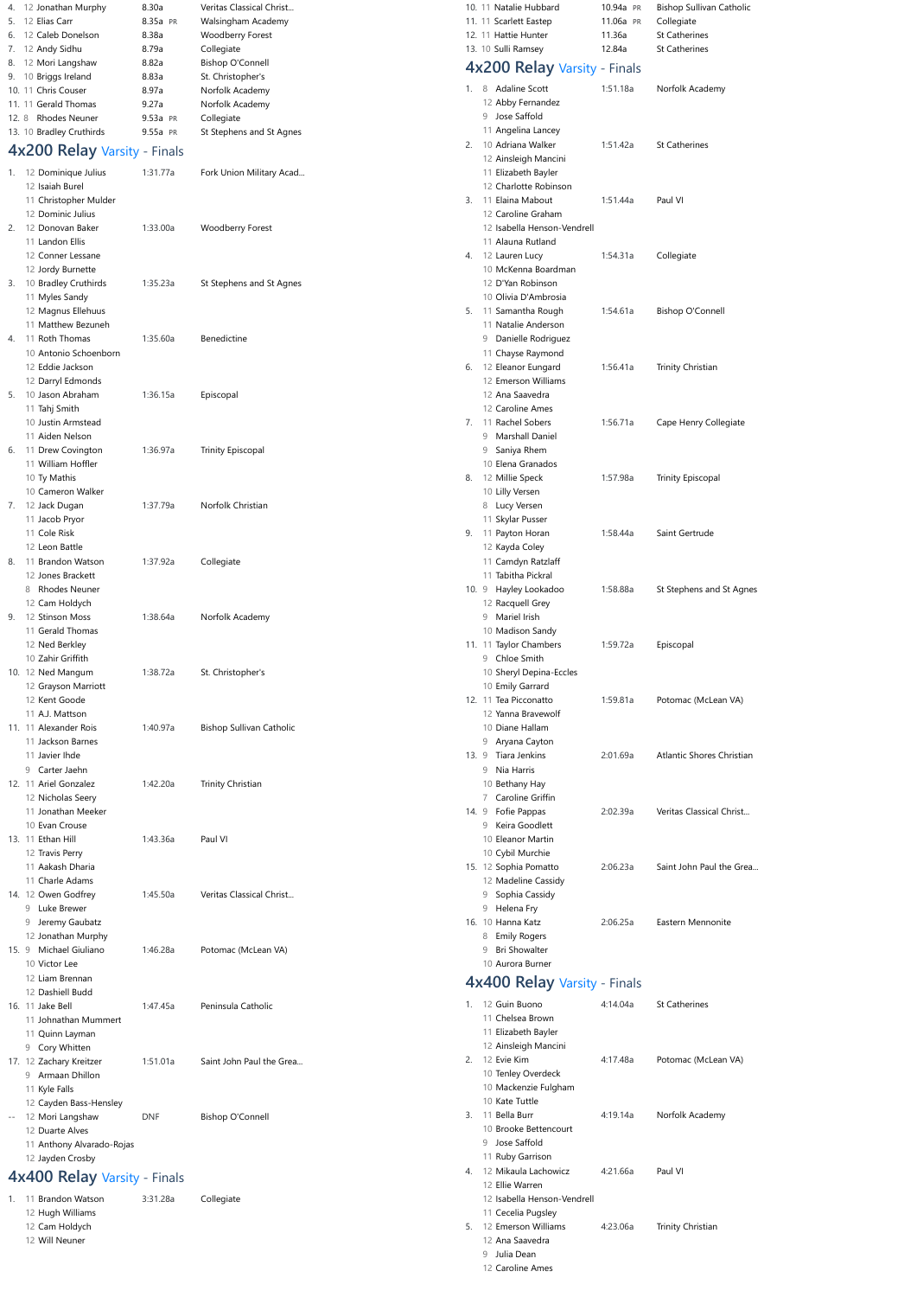|            | 12 Liam Brennan              |            |                          |    | 4x400 Relay Varsity - Finals |          |                      |
|------------|------------------------------|------------|--------------------------|----|------------------------------|----------|----------------------|
|            | 12 Dashiell Budd             |            |                          |    |                              |          |                      |
|            | 16. 11 Jake Bell             | 1:47.45a   | Peninsula Catholic       |    | 12 Guin Buono                | 4:14.04a | <b>St Catherines</b> |
|            | 11 Johnathan Mummert         |            |                          |    | 11 Chelsea Brown             |          |                      |
|            | 11 Quinn Layman              |            |                          |    | 11 Elizabeth Bayler          |          |                      |
|            | 9 Cory Whitten               |            |                          |    | 12 Ainsleigh Mancini         |          |                      |
|            | 17. 12 Zachary Kreitzer      | 1:51.01a   | Saint John Paul the Grea | 2. | 12 Evie Kim                  | 4:17.48a | Potomac (McLean VA)  |
|            | Armaan Dhillon               |            |                          |    | 10 Tenley Overdeck           |          |                      |
|            | 11 Kyle Falls                |            |                          |    | 10 Mackenzie Fulgham         |          |                      |
|            | 12 Cayden Bass-Hensley       |            |                          |    | 10 Kate Tuttle               |          |                      |
| $\sim$ $-$ | 12 Mori Langshaw             | <b>DNF</b> | <b>Bishop O'Connell</b>  | 3. | 11 Bella Burr                | 4:19.14a | Norfolk Academy      |
|            | 12 Duarte Alves              |            |                          |    | 10 Brooke Bettencourt        |          |                      |
|            | 11 Anthony Alvarado-Rojas    |            |                          |    | 9 Jose Saffold               |          |                      |
|            | 12 Jayden Crosby             |            |                          |    | 11 Ruby Garrison             |          |                      |
|            | 4x400 Relay Varsity - Finals |            |                          | 4. | 12 Mikaula Lachowicz         | 4:21.66a | Paul VI              |
|            |                              |            |                          |    | 12 Ellie Warren              |          |                      |
| 1.         | <b>Brandon Watson</b>        | 3:31.28a   | Collegiate               |    | 12 Isabella Henson-Vendrell  |          |                      |
|            | 12 Hugh Williams             |            |                          |    | 11 Cecelia Pugsley           |          |                      |
|            | 12 Cam Holdych               |            |                          | 5. | 12 Emerson Williams          | 4:23.06a | Trinity Christian    |
|            | 12 Will Neuner               |            |                          |    | 12 Ana Saavedra              |          |                      |
|            |                              |            |                          |    | 9 Julia Dean                 |          |                      |
|            |                              |            |                          |    | 12 Caroline Ames             |          |                      |

| 4. | 12 Jonathan Murphy           | 8.30a    | Veritas Classical Christ        |    | 10. 11 Natalie Hubbard                    | 10.94a PR | <b>Bishop Sullivan Catholic</b> |
|----|------------------------------|----------|---------------------------------|----|-------------------------------------------|-----------|---------------------------------|
| 5. | 12 Elias Carr                | 8.35a PR | Walsingham Academy              |    | 11. 11 Scarlett Eastep                    | 11.06a PR | Collegiate                      |
| 6. | 12 Caleb Donelson            | 8.38a    | <b>Woodberry Forest</b>         |    | 12. 11 Hattie Hunter                      | 11.36a    | St Catherines                   |
|    | 7. 12 Andy Sidhu             | 8.79a    | Collegiate                      |    | 13. 10 Sulli Ramsey                       | 12.84a    | St Catherines                   |
| 8. | 12 Mori Langshaw             | 8.82a    | <b>Bishop O'Connell</b>         |    | 4x200 Relay Varsity - Finals              |           |                                 |
| 9. | 10 Briggs Ireland            | 8.83a    | St. Christopher's               |    |                                           |           |                                 |
|    | 10. 11 Chris Couser          | 8.97a    | Norfolk Academy                 |    | 1. 8 Adaline Scott                        | 1:51.18a  | Norfolk Academy                 |
|    | 11. 11 Gerald Thomas         | 9.27a    | Norfolk Academy                 |    | 12 Abby Fernandez                         |           |                                 |
|    | 12. 8 Rhodes Neuner          | 9.53a PR | Collegiate                      |    | 9 Jose Saffold                            |           |                                 |
|    | 13. 10 Bradley Cruthirds     | 9.55a PR | St Stephens and St Agnes        |    | 11 Angelina Lancey                        |           |                                 |
|    | 4x200 Relay Varsity - Finals |          |                                 | 2. | 10 Adriana Walker<br>12 Ainsleigh Mancini | 1:51.42a  | St Catherines                   |
|    | 1. 12 Dominique Julius       | 1:31.77a | Fork Union Military Acad        |    | 11 Elizabeth Bayler                       |           |                                 |
|    | 12 Isaiah Burel              |          |                                 |    | 12 Charlotte Robinson                     |           |                                 |
|    | 11 Christopher Mulder        |          |                                 | 3. | 11 Elaina Mabout                          | 1:51.44a  | Paul VI                         |
|    | 12 Dominic Julius            |          |                                 |    | 12 Caroline Graham                        |           |                                 |
| 2. | 12 Donovan Baker             | 1:33.00a | <b>Woodberry Forest</b>         |    | 12 Isabella Henson-Vendrell               |           |                                 |
|    | 11 Landon Ellis              |          |                                 |    | 11 Alauna Rutland                         |           |                                 |
|    | 12 Conner Lessane            |          |                                 |    | 4. 12 Lauren Lucy                         | 1:54.31a  | Collegiate                      |
|    | 12 Jordy Burnette            |          |                                 |    | 10 McKenna Boardman                       |           |                                 |
|    | 3. 10 Bradley Cruthirds      | 1:35.23a | St Stephens and St Agnes        |    | 12 D'Yan Robinson                         |           |                                 |
|    | 11 Myles Sandy               |          |                                 |    | 10 Olivia D'Ambrosia                      |           |                                 |
|    | 12 Magnus Ellehuus           |          |                                 |    | 5. 11 Samantha Rough                      | 1:54.61a  | <b>Bishop O'Connell</b>         |
|    | 11 Matthew Bezuneh           |          |                                 |    | 11 Natalie Anderson                       |           |                                 |
| 4. | 11 Roth Thomas               | 1:35.60a | <b>Benedictine</b>              |    | 9 Danielle Rodriguez                      |           |                                 |
|    | 10 Antonio Schoenborn        |          |                                 |    | 11 Chayse Raymond                         |           |                                 |
|    | 12 Eddie Jackson             |          |                                 | 6. | 12 Eleanor Eungard                        | 1:56.41a  | Trinity Christian               |
|    | 12 Darryl Edmonds            |          |                                 |    | 12 Emerson Williams                       |           |                                 |
|    | 5. 10 Jason Abraham          | 1:36.15a | Episcopal                       |    | 12 Ana Saavedra                           |           |                                 |
|    | 11 Tahj Smith                |          |                                 |    | 12 Caroline Ames                          |           |                                 |
|    | 10 Justin Armstead           |          |                                 |    | 7. 11 Rachel Sobers                       | 1:56.71a  | Cape Henry Collegiate           |
|    | 11 Aiden Nelson              |          |                                 |    | 9 Marshall Daniel                         |           |                                 |
| 6. | 11 Drew Covington            | 1:36.97a | <b>Trinity Episcopal</b>        |    | Saniya Rhem<br>9                          |           |                                 |
|    | 11 William Hoffler           |          |                                 |    | 10 Elena Granados                         |           |                                 |
|    | 10 Ty Mathis                 |          |                                 |    | 8. 12 Millie Speck                        | 1:57.98a  | <b>Trinity Episcopal</b>        |
|    | 10 Cameron Walker            |          |                                 |    | 10 Lilly Versen                           |           |                                 |
|    | 7. 12 Jack Dugan             | 1:37.79a | Norfolk Christian               |    | 8 Lucy Versen                             |           |                                 |
|    | 11 Jacob Pryor               |          |                                 |    | 11 Skylar Pusser                          |           |                                 |
|    | 11 Cole Risk                 |          |                                 |    | 11 Payton Horan                           | 1:58.44a  | Saint Gertrude                  |
|    | 12 Leon Battle               |          |                                 | 9. |                                           |           |                                 |
|    |                              |          |                                 |    | 12 Kayda Coley                            |           |                                 |
| 8. | 11 Brandon Watson            | 1:37.92a | Collegiate                      |    | 11 Camdyn Ratzlaff                        |           |                                 |
|    | 12 Jones Brackett            |          |                                 |    | 11 Tabitha Pickral                        |           |                                 |
|    | <b>Rhodes Neuner</b><br>8    |          |                                 |    | 10. 9 Hayley Lookadoo                     | 1:58.88a  | St Stephens and St Agnes        |
|    | 12 Cam Holdych               |          |                                 |    | 12 Racquell Grey                          |           |                                 |
|    | 9. 12 Stinson Moss           | 1:38.64a | Norfolk Academy                 |    | 9 Mariel Irish                            |           |                                 |
|    | 11 Gerald Thomas             |          |                                 |    | 10 Madison Sandy                          |           |                                 |
|    | 12 Ned Berkley               |          |                                 |    | 11. 11 Taylor Chambers                    | 1:59.72a  | Episcopal                       |
|    | 10 Zahir Griffith            |          |                                 |    | 9 Chloe Smith                             |           |                                 |
|    | 10. 12 Ned Mangum            | 1:38.72a | St. Christopher's               |    | 10 Sheryl Depina-Eccles                   |           |                                 |
|    | 12 Grayson Marriott          |          |                                 |    | 10 Emily Garrard                          |           |                                 |
|    | 12 Kent Goode                |          |                                 |    | 12. 11 Tea Picconatto                     | 1:59.81a  | Potomac (McLean VA)             |
|    | 11 A.J. Mattson              |          |                                 |    | 12 Yanna Bravewolf                        |           |                                 |
|    | 11. 11 Alexander Rois        | 1:40.97a | <b>Bishop Sullivan Catholic</b> |    | 10 Diane Hallam                           |           |                                 |
|    | 11 Jackson Barnes            |          |                                 |    | 9 Aryana Cayton                           |           |                                 |
|    | 11 Javier Ihde               |          |                                 |    | 13. 9 Tiara Jenkins                       | 2:01.69a  | Atlantic Shores Christian       |
|    | Carter Jaehn<br>9            |          |                                 |    | 9 Nia Harris                              |           |                                 |
|    | 12. 11 Ariel Gonzalez        | 1:42.20a | Trinity Christian               |    | 10 Bethany Hay                            |           |                                 |
|    | 12 Nicholas Seery            |          |                                 |    | 7 Caroline Griffin                        |           |                                 |
|    | 11 Jonathan Meeker           |          |                                 |    | 14. 9 Fofie Pappas                        | 2:02.39a  | Veritas Classical Christ        |
|    | 10 Evan Crouse               |          |                                 |    | 9 Keira Goodlett                          |           |                                 |
|    | 13. 11 Ethan Hill            | 1:43.36a | Paul VI                         |    | 10 Eleanor Martin                         |           |                                 |
|    | 12 Travis Perry              |          |                                 |    | 10 Cybil Murchie                          |           |                                 |
|    | 11 Aakash Dharia             |          |                                 |    | 15. 12 Sophia Pomatto                     | 2:06.23a  | Saint John Paul the Grea        |
|    | 11 Charle Adams              |          |                                 |    | 12 Madeline Cassidy                       |           |                                 |
|    | 14. 12 Owen Godfrey          | 1:45.50a | Veritas Classical Christ        |    | Sophia Cassidy<br>9                       |           |                                 |
|    | Luke Brewer<br>9             |          |                                 |    | 9 Helena Fry                              |           |                                 |
|    | 9 Jeremy Gaubatz             |          |                                 |    | 16. 10 Hanna Katz                         | 2:06.25a  | Eastern Mennonite               |
|    | 12 Jonathan Murphy           |          |                                 |    | <b>Emily Rogers</b><br>8                  |           |                                 |
|    | 15. 9 Michael Giuliano       | 1:46.28a | Potomac (McLean VA)             |    | <b>Bri Showalter</b><br>9                 |           |                                 |
|    | 10 Victor Lee                |          |                                 |    | 10 Aurora Burner                          |           |                                 |
|    | 12 Liam Brennan              |          |                                 |    | $4x400$ Relay Varsity - Finals            |           |                                 |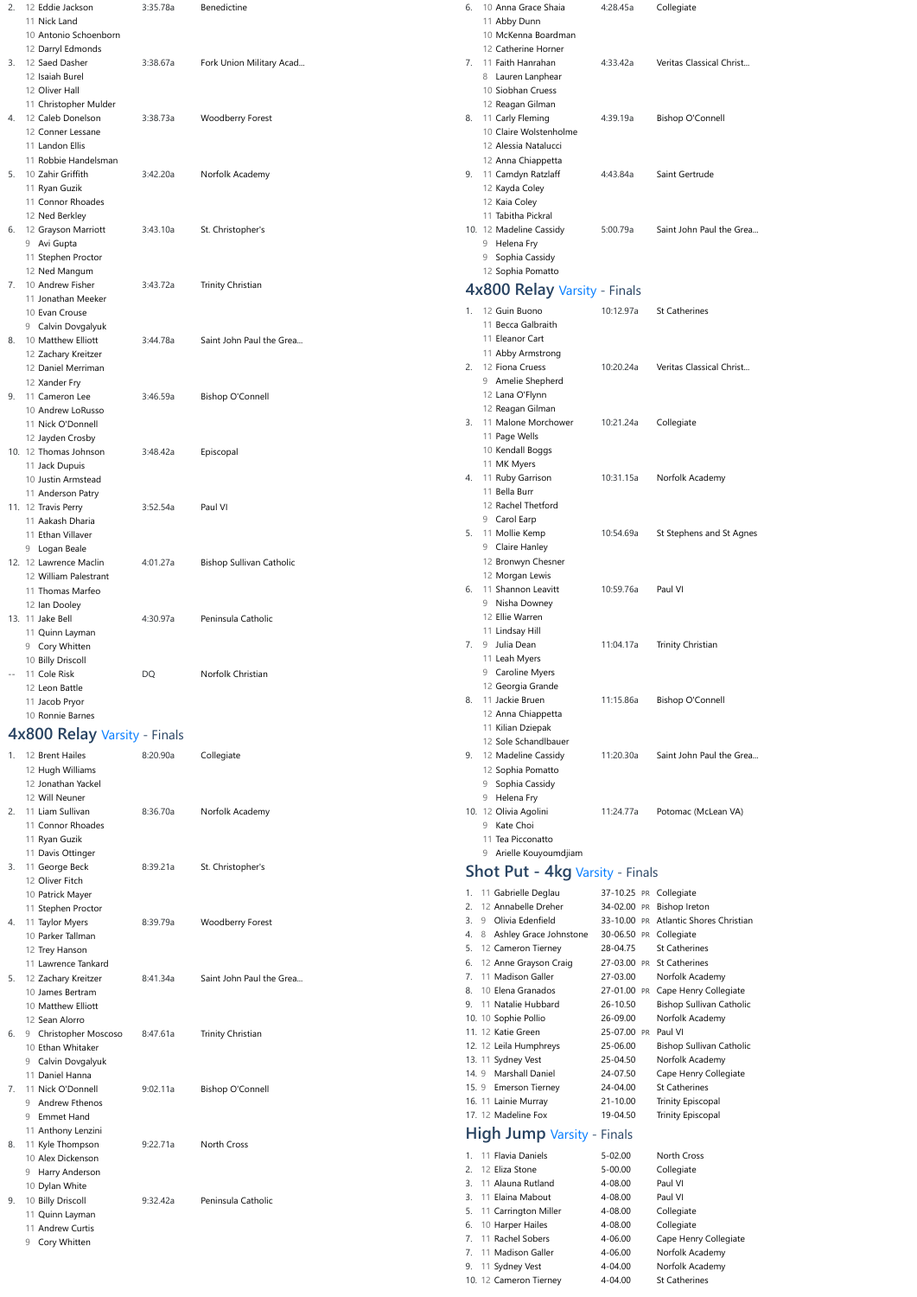|    |   | 12 Eddie Jackson                       | 3:35.78a  | Benedictine                     | 6.   |   | 10 Anna Grace Shaia                          | 4:28.45a               | Collegiate                            |
|----|---|----------------------------------------|-----------|---------------------------------|------|---|----------------------------------------------|------------------------|---------------------------------------|
|    |   | 11 Nick Land                           |           |                                 |      |   | 11 Abby Dunn                                 |                        |                                       |
|    |   | 10 Antonio Schoenborn                  |           |                                 |      |   | 10 McKenna Boardman                          |                        |                                       |
|    |   | 12 Darryl Edmonds                      |           |                                 |      |   | 12 Catherine Horner                          |                        |                                       |
| 3. |   | 12 Saed Dasher                         | 3:38.67a  | Fork Union Military Acad        | 7.   |   | 11 Faith Hanrahan                            | 4:33.42a               | Veritas Classical Christ              |
|    |   | 12 Isaiah Burel                        |           |                                 |      |   | 8 Lauren Lanphear                            |                        |                                       |
|    |   | 12 Oliver Hall                         |           |                                 |      |   | 10 Siobhan Cruess                            |                        |                                       |
|    |   | 11 Christopher Mulder                  |           |                                 |      |   | 12 Reagan Gilman                             |                        |                                       |
| 4. |   | 12 Caleb Donelson                      | 3:38.73a  | Woodberry Forest                | 8.   |   | 11 Carly Fleming                             | 4:39.19a               | <b>Bishop O'Connell</b>               |
|    |   | 12 Conner Lessane                      |           |                                 |      |   | 10 Claire Wolstenholme                       |                        |                                       |
|    |   | 11 Landon Ellis                        |           |                                 |      |   | 12 Alessia Natalucci                         |                        |                                       |
|    |   | 11 Robbie Handelsman                   |           |                                 |      |   | 12 Anna Chiappetta                           |                        |                                       |
| 5. |   | 10 Zahir Griffith                      | 3:42.20a  | Norfolk Academy                 | 9.   |   | 11 Camdyn Ratzlaff                           | 4:43.84a               | Saint Gertrude                        |
|    |   | 11 Ryan Guzik                          |           |                                 |      |   | 12 Kayda Coley                               |                        |                                       |
|    |   | 11 Connor Rhoades                      |           |                                 |      |   | 12 Kaia Coley                                |                        |                                       |
|    |   | 12 Ned Berkley                         |           |                                 |      |   | 11 Tabitha Pickral                           |                        |                                       |
| 6. |   | 12 Grayson Marriott                    | 3:43.10a  | St. Christopher's               |      |   | 10. 12 Madeline Cassidy                      | 5:00.79a               | Saint John Paul the Grea              |
|    |   | 9 Avi Gupta                            |           |                                 |      |   | 9 Helena Fry                                 |                        |                                       |
|    |   | 11 Stephen Proctor                     |           |                                 |      | 9 | Sophia Cassidy                               |                        |                                       |
|    |   | 12 Ned Mangum                          |           |                                 |      |   | 12 Sophia Pomatto                            |                        |                                       |
| 7. |   | 10 Andrew Fisher                       | 3:43.72a  | Trinity Christian               |      |   | 4x800 Relay Varsity - Finals                 |                        |                                       |
|    |   | 11 Jonathan Meeker                     |           |                                 |      |   |                                              |                        |                                       |
|    |   | 10 Evan Crouse                         |           |                                 |      |   | 1. 12 Guin Buono                             | 10:12.97a              | <b>St Catherines</b>                  |
|    |   | 9 Calvin Dovgalyuk                     |           |                                 |      |   | 11 Becca Galbraith                           |                        |                                       |
| 8. |   | 10 Matthew Elliott                     | 3:44.78a  | Saint John Paul the Grea        |      |   | 11 Eleanor Cart                              |                        |                                       |
|    |   | 12 Zachary Kreitzer                    |           |                                 |      |   | 11 Abby Armstrong                            |                        |                                       |
|    |   | 12 Daniel Merriman                     |           |                                 |      |   | 2. 12 Fiona Cruess                           | 10:20.24a              | Veritas Classical Christ              |
|    |   | 12 Xander Fry                          |           |                                 |      |   | 9 Amelie Shepherd                            |                        |                                       |
| 9. |   | 11 Cameron Lee                         | 3:46.59a  | <b>Bishop O'Connell</b>         |      |   | 12 Lana O'Flynn                              |                        |                                       |
|    |   | 10 Andrew LoRusso                      |           |                                 |      |   | 12 Reagan Gilman                             |                        |                                       |
|    |   | 11 Nick O'Donnell                      |           |                                 | 3.   |   | 11 Malone Morchower                          | 10:21.24a              | Collegiate                            |
|    |   | 12 Jayden Crosby                       |           |                                 |      |   | 11 Page Wells                                |                        |                                       |
|    |   | 10. 12 Thomas Johnson                  | 3:48.42a  | Episcopal                       |      |   | 10 Kendall Boggs                             |                        |                                       |
|    |   | 11 Jack Dupuis                         |           |                                 |      |   | 11 MK Myers                                  |                        |                                       |
|    |   | 10 Justin Armstead                     |           |                                 | 4.   |   | 11 Ruby Garrison                             | 10:31.15a              | Norfolk Academy                       |
|    |   |                                        |           |                                 |      |   | 11 Bella Burr                                |                        |                                       |
|    |   | 11 Anderson Patry                      |           |                                 |      |   | 12 Rachel Thetford                           |                        |                                       |
|    |   | 11. 12 Travis Perry                    | 3:52.54a  | Paul VI                         |      |   |                                              |                        |                                       |
|    |   | 11 Aakash Dharia                       |           |                                 |      |   | 9 Carol Earp                                 |                        |                                       |
|    |   | 11 Ethan Villaver                      |           |                                 | 5.   |   | 11 Mollie Kemp                               | 10:54.69a              | St Stephens and St Agnes              |
|    |   | 9 Logan Beale                          |           |                                 |      |   | 9 Claire Hanley                              |                        |                                       |
|    |   | 12. 12 Lawrence Maclin                 | 4:01.27a  | <b>Bishop Sullivan Catholic</b> |      |   | 12 Bronwyn Chesner                           |                        |                                       |
|    |   | 12 William Palestrant                  |           |                                 |      |   | 12 Morgan Lewis                              |                        |                                       |
|    |   | 11 Thomas Marfeo                       |           |                                 | 6.   |   | 11 Shannon Leavitt                           | 10:59.76a              | Paul VI                               |
|    |   | 12 Ian Dooley                          |           |                                 |      |   | 9 Nisha Downey                               |                        |                                       |
|    |   | 13. 11 Jake Bell                       | 4:30.97a  | Peninsula Catholic              |      |   | 12 Ellie Warren                              |                        |                                       |
|    |   | 11 Quinn Layman                        |           |                                 |      |   | 11 Lindsay Hill                              |                        |                                       |
|    |   | 9 Cory Whitten                         |           |                                 | 7.   |   | 9 Julia Dean                                 | 11:04.17a              | Trinity Christian                     |
|    |   | 10 Billy Driscoll                      |           |                                 |      |   | 11 Leah Myers                                |                        |                                       |
|    |   | -- 11 Cole Risk                        | <b>DQ</b> | Norfolk Christian               |      |   | 9 Caroline Myers                             |                        |                                       |
|    |   | 12 Leon Battle                         |           |                                 |      |   | 12 Georgia Grande                            |                        |                                       |
|    |   |                                        |           |                                 | 8.   |   | 11 Jackie Bruen                              | 11:15.86a              | <b>Bishop O'Connell</b>               |
|    |   | 11 Jacob Pryor                         |           |                                 |      |   | 12 Anna Chiappetta                           |                        |                                       |
|    |   | 10 Ronnie Barnes                       |           |                                 |      |   |                                              |                        |                                       |
|    |   | 4x800 Relay Varsity - Finals           |           |                                 |      |   | 11 Kilian Dziepak                            |                        |                                       |
|    |   |                                        |           |                                 |      |   | 12 Sole Schandlbauer                         |                        |                                       |
|    |   | 1. 12 Brent Hailes                     | 8:20.90a  | Collegiate                      | 9.   |   | 12 Madeline Cassidy                          | 11:20.30a              | Saint John Paul the Grea              |
|    |   | 12 Hugh Williams                       |           |                                 |      |   | 12 Sophia Pomatto                            |                        |                                       |
|    |   | 12 Jonathan Yackel                     |           |                                 |      |   | 9 Sophia Cassidy                             |                        |                                       |
|    |   |                                        |           |                                 |      |   | 9 Helena Fry                                 |                        |                                       |
| 2. |   | 12 Will Neuner                         |           |                                 |      |   |                                              |                        |                                       |
|    |   | 11 Liam Sullivan                       | 8:36.70a  | Norfolk Academy                 |      |   | 10. 12 Olivia Agolini                        | 11:24.77a              | Potomac (McLean VA)                   |
|    |   | 11 Connor Rhoades                      |           |                                 |      |   | 9 Kate Choi                                  |                        |                                       |
|    |   | 11 Ryan Guzik                          |           |                                 |      |   | 11 Tea Picconatto                            |                        |                                       |
|    |   | 11 Davis Ottinger                      |           |                                 |      |   | 9 Arielle Kouyoumdjiam                       |                        |                                       |
|    |   |                                        | 8:39.21a  |                                 |      |   |                                              |                        |                                       |
|    |   | 3. 11 George Beck<br>12 Oliver Fitch   |           | St. Christopher's               |      |   | <b>Shot Put - 4kg Varsity - Finals</b>       |                        |                                       |
|    |   |                                        |           |                                 |      |   | 1. 11 Gabrielle Deglau                       | 37-10.25 PR Collegiate |                                       |
|    |   | 10 Patrick Mayer<br>11 Stephen Proctor |           |                                 | 2.   |   | 12 Annabelle Dreher                          |                        | 34-02.00 PR Bishop Ireton             |
|    |   |                                        | 8:39.79a  |                                 |      | 9 | Olivia Edenfield                             |                        | 33-10.00 PR Atlantic Shores Christian |
|    |   | 4. 11 Taylor Myers                     |           | <b>Woodberry Forest</b>         | 4.   | 8 |                                              | 30-06.50 PR Collegiate |                                       |
|    |   | 10 Parker Tallman                      |           |                                 | 5.   |   | Ashley Grace Johnstone<br>12 Cameron Tierney | 28-04.75               | <b>St Catherines</b>                  |
|    |   | 12 Trey Hanson                         |           |                                 |      |   |                                              |                        |                                       |
|    |   | 11 Lawrence Tankard                    |           |                                 |      |   | 12 Anne Grayson Craig                        |                        | 27-03.00 PR St Catherines             |
| 5. |   | 12 Zachary Kreitzer                    | 8:41.34a  | Saint John Paul the Grea        |      |   | 7. 11 Madison Galler                         | 27-03.00               | Norfolk Academy                       |
|    |   | 10 James Bertram                       |           |                                 | 8.   |   | 10 Elena Granados                            |                        | 27-01.00 PR Cape Henry Collegiate     |
|    |   | 10 Matthew Elliott                     |           |                                 | 9.   |   | 11 Natalie Hubbard                           | 26-10.50               | <b>Bishop Sullivan Catholic</b>       |
|    |   | 12 Sean Alorro                         |           |                                 |      |   | 10. 10 Sophie Pollio                         | 26-09.00               | Norfolk Academy                       |
| 6. |   | 9 Christopher Moscoso                  | 8:47.61a  | Trinity Christian               |      |   | 11. 12 Katie Green                           | 25-07.00 PR Paul VI    |                                       |
|    |   | 10 Ethan Whitaker                      |           |                                 |      |   | 12. 12 Leila Humphreys                       | 25-06.00               | <b>Bishop Sullivan Catholic</b>       |
|    |   | 9 Calvin Dovgalyuk                     |           |                                 |      |   | 13. 11 Sydney Vest                           | 25-04.50               | Norfolk Academy                       |
|    |   | 11 Daniel Hanna                        |           |                                 |      |   | 14. 9 Marshall Daniel                        | 24-07.50               | Cape Henry Collegiate                 |
| 7. |   | 11 Nick O'Donnell                      | 9:02.11a  | <b>Bishop O'Connell</b>         | 15.9 |   | <b>Emerson Tierney</b>                       | 24-04.00               | St Catherines                         |
|    |   | 9 Andrew Fthenos                       |           |                                 |      |   | 16. 11 Lainie Murray                         | 21-10.00               | Trinity Episcopal                     |
|    | 9 | <b>Emmet Hand</b>                      |           |                                 |      |   | 17. 12 Madeline Fox                          | 19-04.50               | Trinity Episcopal                     |
|    |   | 11 Anthony Lenzini                     |           |                                 |      |   |                                              |                        |                                       |
| 8. |   | 11 Kyle Thompson                       | 9:22.71a  | North Cross                     |      |   | <b>High Jump Varsity - Finals</b>            |                        |                                       |
|    |   | 10 Alex Dickenson                      |           |                                 |      |   | 1. 11 Flavia Daniels                         | $5 - 02.00$            | North Cross                           |
|    | 9 |                                        |           |                                 | 2.   |   | 12 Eliza Stone                               | $5 - 00.00$            | Collegiate                            |
|    |   | Harry Anderson                         |           |                                 | 3.   |   | 11 Alauna Rutland                            | 4-08.00                | Paul VI                               |
|    |   | 10 Dylan White                         |           |                                 | 3.   |   | 11 Elaina Mabout                             | 4-08.00                | Paul VI                               |
|    |   | 10 Billy Driscoll                      | 9:32.42a  | Peninsula Catholic              | 5.   |   |                                              | 4-08.00                |                                       |
| 9. |   | 11 Quinn Layman                        |           |                                 |      |   | 11 Carrington Miller                         |                        | Collegiate                            |
|    |   | 11 Andrew Curtis                       |           |                                 | 6.   |   | 10 Harper Hailes                             | 4-08.00                | Collegiate                            |
|    |   | 9 Cory Whitten                         |           |                                 | 7.   |   | 11 Rachel Sobers                             | 4-06.00                | Cape Henry Collegiate                 |
|    |   |                                        |           |                                 | 7.   |   | 11 Madison Galler                            | 4-06.00                | Norfolk Academy                       |
|    |   |                                        |           |                                 |      |   | 9. 11 Sydney Vest<br>10. 12 Cameron Tierney  | 4-04.00<br>4-04.00     | Norfolk Academy<br>St Catherines      |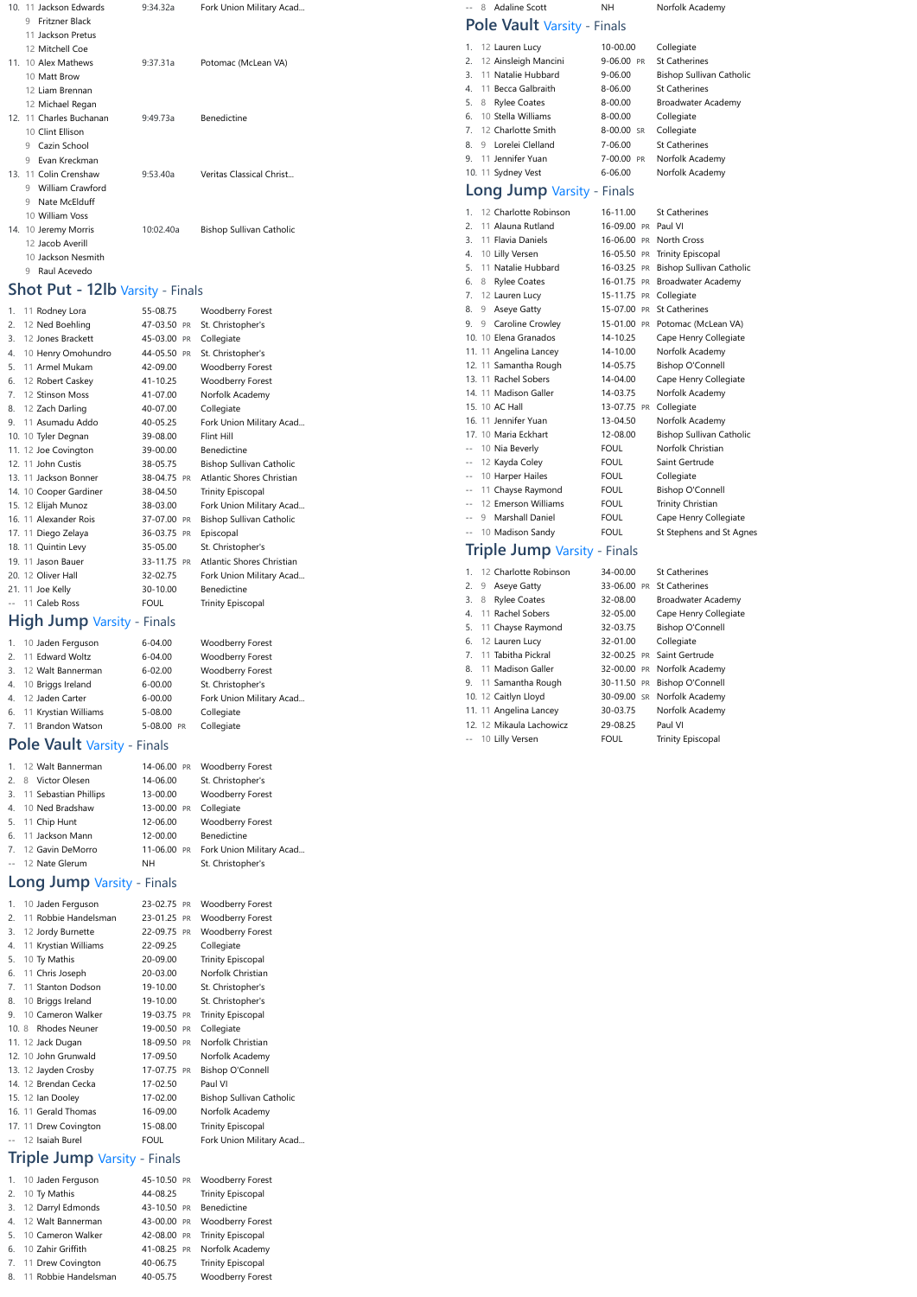| 10. 11 Jackson Edwards       | 9:34.32a  | Fork Union Military Acad |
|------------------------------|-----------|--------------------------|
| Fritzner Black<br>9          |           |                          |
| 11 Jackson Pretus            |           |                          |
| 12 Mitchell Coe              |           |                          |
| 11. 10 Alex Mathews          | 9:37.31a  | Potomac (McLean VA)      |
| 10 Matt Brow                 |           |                          |
| 12 Liam Brennan              |           |                          |
| 12 Michael Regan             |           |                          |
| 12. 11 Charles Buchanan      | 9.49 73a  | Benedictine              |
| 10 Clint Ellison             |           |                          |
| Cazin School<br>9            |           |                          |
| Evan Kreckman<br>9           |           |                          |
| 13. 11 Colin Crenshaw        | 9:53.40a  | Veritas Classical Christ |
| <b>William Crawford</b><br>9 |           |                          |
| Nate McElduff<br>9           |           |                          |
| 10 William Voss              |           |                          |
| 14. 10 Jeremy Morris         | 10:02.40a | Bishop Sullivan Catholic |
| 12 Jacob Averill             |           |                          |
| 10 Jackson Nesmith           |           |                          |

9 [Raul Acevedo](https://www.athletic.net/TrackAndField/Athlete.aspx?AID=18909742)

### **Shot Put - 12lb** Varsity - Finals

| 1. | 11 Rodney Lora         | 55-08.75    | <b>Woodberry Forest</b>         |
|----|------------------------|-------------|---------------------------------|
| 2. | 12 Ned Boehling        | 47-03.50 PR | St. Christopher's               |
| 3. | 12 Jones Brackett      | 45-03.00 PR | Collegiate                      |
| 4. | 10 Henry Omohundro     | 44-05.50 PR | St. Christopher's               |
| 5. | 11 Armel Mukam         | 42-09.00    | Woodberry Forest                |
| 6. | 12 Robert Caskey       | 41-10.25    | Woodberry Forest                |
| 7. | 12 Stinson Moss        | 41-07.00    | Norfolk Academy                 |
| 8. | 12 Zach Darling        | 40-07.00    | Collegiate                      |
| 9. | 11 Asumadu Addo        | 40-05.25    | Fork Union Military Acad        |
|    | 10. 10 Tyler Degnan    | 39-08.00    | Flint Hill                      |
|    | 11. 12 Joe Covington   | 39-00.00    | <b>Benedictine</b>              |
|    | 12. 11 John Custis     | 38-05.75    | Bishop Sullivan Catholic        |
|    | 13. 11 Jackson Bonner  | 38-04.75 PR | Atlantic Shores Christian       |
|    | 14. 10 Cooper Gardiner | 38-04.50    | <b>Trinity Episcopal</b>        |
|    | 15. 12 Elijah Munoz    | 38-03.00    | Fork Union Military Acad        |
|    | 16. 11 Alexander Rois  | 37-07.00 PR | <b>Bishop Sullivan Catholic</b> |
|    | 17. 11 Diego Zelaya    | 36-03.75 PR | Episcopal                       |
|    | 18. 11 Quintin Levy    | 35-05.00    | St. Christopher's               |
|    | 19. 11 Jason Bauer     | 33-11.75 PR | Atlantic Shores Christian       |
|    | 20. 12 Oliver Hall     | 32-02.75    | Fork Union Military Acad        |
|    | 21. 11 Joe Kelly       | 30-10.00    | <b>Benedictine</b>              |
|    | -- 11 Caleb Ross       | <b>FOUL</b> | <b>Trinity Episcopal</b>        |

## **High Jump Varsity - Finals**

| 1. 10 Jaden Ferguson    | $6 - 04.00$ | <b>Woodberry Forest</b>  |
|-------------------------|-------------|--------------------------|
| 2. 11 Edward Woltz      | $6 - 04.00$ | <b>Woodberry Forest</b>  |
| 3. 12 Walt Bannerman    | $6 - 02.00$ | <b>Woodberry Forest</b>  |
| 4. 10 Briggs Ireland    | $6 - 00.00$ | St. Christopher's        |
| 4. 12 Jaden Carter      | $6 - 00.00$ | Fork Union Military Acad |
| 6. 11 Krystian Williams | 5-08.00     | Collegiate               |
| 7. 11 Brandon Watson    | 5-08.00 PR  | Collegiate               |

## **Pole Vault** Varsity - Finals

| 1. 12 Walt Bannerman     | 14-06.00 PR | Woodberry Forest         |
|--------------------------|-------------|--------------------------|
| 2. 8 Victor Olesen       | 14-06.00    | St. Christopher's        |
| 3. 11 Sebastian Phillips | 13-00.00    | <b>Woodberry Forest</b>  |
| 4. 10 Ned Bradshaw       | 13-00.00 PR | Collegiate               |
| 5. 11 Chip Hunt          | 12-06.00    | <b>Woodberry Forest</b>  |
| 6. 11 Jackson Mann       | 12-00.00    | Benedictine              |
| 7. 12 Gavin DeMorro      | 11-06.00 PR | Fork Union Military Acad |
| -- 12 Nate Glerum        | NH.         | St. Christopher's        |

## **Long Jump** Varsity - Finals

| 1.   | 10 Jaden Ferguson     | 23-02.75 PR | Woodberry Forest                |
|------|-----------------------|-------------|---------------------------------|
| 2.   | 11 Robbie Handelsman  | 23-01.25 PR | <b>Woodberry Forest</b>         |
| 3.   | 12 Jordy Burnette     | 22-09.75 PR | <b>Woodberry Forest</b>         |
| 4.   | 11 Krystian Williams  | 22-09.25    | Collegiate                      |
| 5.   | 10 Ty Mathis          | 20-09.00    | <b>Trinity Episcopal</b>        |
| 6.   | 11 Chris Joseph       | 20-03.00    | Norfolk Christian               |
| 7.   | 11 Stanton Dodson     | 19-10.00    | St. Christopher's               |
| 8.   | 10 Briggs Ireland     | 19-10.00    | St. Christopher's               |
| 9.   | 10 Cameron Walker     | 19-03.75 PR | <b>Trinity Episcopal</b>        |
| 10.8 | <b>Rhodes Neuner</b>  | 19-00.50 PR | Collegiate                      |
|      | 11. 12 Jack Dugan     | 18-09.50 PR | Norfolk Christian               |
|      | 12. 10 John Grunwald  | 17-09.50    | Norfolk Academy                 |
|      | 13. 12 Jayden Crosby  | 17-07.75 PR | <b>Bishop O'Connell</b>         |
|      | 14. 12 Brendan Cecka  | 17-02.50    | Paul VI                         |
|      | 15. 12 Ian Dooley     | 17-02.00    | <b>Bishop Sullivan Catholic</b> |
|      | 16. 11 Gerald Thomas  | 16-09.00    | Norfolk Academy                 |
|      | 17. 11 Drew Covington | 15-08.00    | <b>Trinity Episcopal</b>        |
|      | 12 Isaiah Burel       | <b>FOUL</b> | Fork Union Military Acad        |
|      |                       |             |                                 |

## **Triple Jump** Varsity - Finals

| 1. 10 Jaden Ferguson    |                         | 45-10.50 PR Woodberry Forest  |
|-------------------------|-------------------------|-------------------------------|
| 2. 10 Ty Mathis         | 44-08.25                | <b>Trinity Episcopal</b>      |
| 3. 12 Darryl Edmonds    | 43-10.50 PR Benedictine |                               |
| 4. 12 Walt Bannerman    |                         | 43-00.00 PR Woodberry Forest  |
| 5. 10 Cameron Walker    |                         | 42-08.00 PR Trinity Episcopal |
| 6. 10 Zahir Griffith    |                         | 41-08.25 PR Norfolk Academy   |
| 7. 11 Drew Covington    | 40-06.75                | <b>Trinity Episcopal</b>      |
| 8. 11 Robbie Handelsman | 40-05.75                | <b>Woodberry Forest</b>       |

|  | -- 8 Adaline Scott          | NH. | Norfolk Academy |
|--|-----------------------------|-----|-----------------|
|  | Pole Vault Varsity - Finals |     |                 |

| 1. 12 Lauren Lucy       | 10-00.00    | Collegiate                      |
|-------------------------|-------------|---------------------------------|
| 2. 12 Ainsleigh Mancini | 9-06.00 PR  | <b>St Catherines</b>            |
| 3. 11 Natalie Hubbard   | $9 - 06.00$ | <b>Bishop Sullivan Catholic</b> |
| 4. 11 Becca Galbraith   | 8-06.00     | <b>St Catherines</b>            |
| 5. 8 Rylee Coates       | 8-00.00     | Broadwater Academy              |
| 6. 10 Stella Williams   | 8-00.00     | Collegiate                      |
| 7. 12 Charlotte Smith   | 8-00.00 SR  | Collegiate                      |
| 8. 9 Lorelei Clelland   | $7 - 06.00$ | <b>St Catherines</b>            |
| 9. 11 Jennifer Yuan     | 7-00.00 PR  | Norfolk Academy                 |
| 10. 11 Sydney Vest      | $6 - 06.00$ | Norfolk Academy                 |

## **Long Jump** Varsity - Finals

| 1.    |   | 12 Charlotte Robinson                                                                            | 16-11.00            | <b>St Catherines</b>            |
|-------|---|--------------------------------------------------------------------------------------------------|---------------------|---------------------------------|
| 2.    |   | 11 Alauna Rutland                                                                                | 16-09.00 PR Paul VI |                                 |
| 3.    |   | 11 Flavia Daniels                                                                                |                     | 16-06.00 PR North Cross         |
| 4.    |   | 10 Lilly Versen                                                                                  |                     | 16-05.50 PR Trinity Episcopal   |
| 5.    |   | 11 Natalie Hubbard                                                                               | 16-03.25 PR         | <b>Bishop Sullivan Catholic</b> |
| 6.    | 8 | <b>Rylee Coates</b>                                                                              | 16-01.75 PR         | Broadwater Academy              |
| 7.    |   | 12 Lauren Lucy                                                                                   | 15-11.75 PR         | Collegiate                      |
| 8.    | 9 | Aseye Gatty                                                                                      |                     | 15-07.00 PR St Catherines       |
| 9.    |   | 9 Caroline Crowley                                                                               |                     | 15-01.00 PR Potomac (McLean VA) |
|       |   | 10. 10 Elena Granados                                                                            | 14-10.25            | Cape Henry Collegiate           |
|       |   | 11. 11 Angelina Lancey                                                                           | 14-10.00            | Norfolk Academy                 |
|       |   | 12. 11 Samantha Rough                                                                            | 14-05.75            | <b>Bishop O'Connell</b>         |
|       |   | 13. 11 Rachel Sobers                                                                             | 14-04.00            | Cape Henry Collegiate           |
|       |   | 14. 11 Madison Galler                                                                            | 14-03.75            | Norfolk Academy                 |
|       |   | 15. 10 AC Hall                                                                                   | 13-07.75 PR         | Collegiate                      |
|       |   | 16. 11 Jennifer Yuan                                                                             | 13-04.50            | Norfolk Academy                 |
|       |   | 17. 10 Maria Eckhart                                                                             | 12-08.00            | <b>Bishop Sullivan Catholic</b> |
| $-$   |   | 10 Nia Beverly                                                                                   | <b>FOUL</b>         | Norfolk Christian               |
| $-$   |   | 12 Kayda Coley                                                                                   | <b>FOUL</b>         | Saint Gertrude                  |
| $-$   |   | 10 Harper Hailes                                                                                 | <b>FOUL</b>         | Collegiate                      |
| $-$   |   | 11 Chayse Raymond                                                                                | <b>FOUL</b>         | <b>Bishop O'Connell</b>         |
| $-$   |   | 12 Emerson Williams                                                                              | <b>FOUL</b>         | Trinity Christian               |
| $-$   |   | 9 Marshall Daniel                                                                                | <b>FOUL</b>         | Cape Henry Collegiate           |
| $- -$ |   | 10 Madison Sandy                                                                                 | <b>FOUL</b>         | St Stephens and St Agnes        |
|       |   | $\mathsf{Trink}[\alpha]$ lump $\alpha$ $\mathcal{L}_{\text{cyclic}}$ $\mathsf{F}_{\text{cycle}}$ |                     |                                 |

#### **Triple Jump** Varsity - Finals

| 1. 12 Charlotte Robinson | 34-00.00    | <b>St Catherines</b>         |
|--------------------------|-------------|------------------------------|
| 2. 9 Aseye Gatty         |             | 33-06.00 PR St Catherines    |
| 3. 8 Rylee Coates        | 32-08.00    | Broadwater Academy           |
| 4. 11 Rachel Sobers      | 32-05.00    | Cape Henry Collegiate        |
| 5. 11 Chayse Raymond     | 32-03.75    | <b>Bishop O'Connell</b>      |
| 6. 12 Lauren Lucy        | 32-01.00    | Collegiate                   |
| 7. 11 Tabitha Pickral    |             | 32-00.25 PR Saint Gertrude   |
| 8. 11 Madison Galler     |             | 32-00.00 PR Norfolk Academy  |
| 9. 11 Samantha Rough     |             | 30-11.50 PR Bishop O'Connell |
| 10. 12 Caitlyn Lloyd     |             | 30-09.00 SR Norfolk Academy  |
| 11. 11 Angelina Lancey   | 30-03.75    | Norfolk Academy              |
| 12. 12 Mikaula Lachowicz | 29-08.25    | Paul VI                      |
| -- 10 Lilly Versen       | <b>FOUL</b> | <b>Trinity Episcopal</b>     |